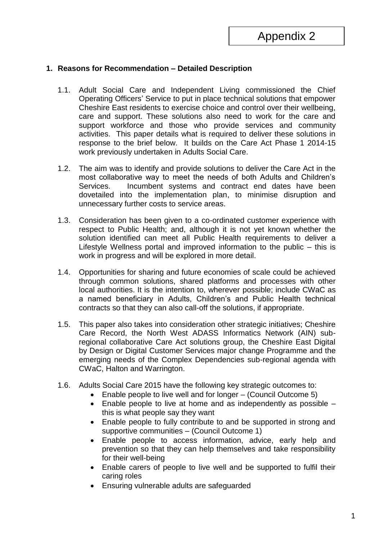## **1. Reasons for Recommendation – Detailed Description**

- 1.1. Adult Social Care and Independent Living commissioned the Chief Operating Officers' Service to put in place technical solutions that empower Cheshire East residents to exercise choice and control over their wellbeing, care and support. These solutions also need to work for the care and support workforce and those who provide services and community activities. This paper details what is required to deliver these solutions in response to the brief below. It builds on the Care Act Phase 1 2014-15 work previously undertaken in Adults Social Care.
- 1.2. The aim was to identify and provide solutions to deliver the Care Act in the most collaborative way to meet the needs of both Adults and Children's Services. Incumbent systems and contract end dates have been dovetailed into the implementation plan, to minimise disruption and unnecessary further costs to service areas.
- 1.3. Consideration has been given to a co-ordinated customer experience with respect to Public Health; and, although it is not yet known whether the solution identified can meet all Public Health requirements to deliver a Lifestyle Wellness portal and improved information to the public – this is work in progress and will be explored in more detail.
- 1.4. Opportunities for sharing and future economies of scale could be achieved through common solutions, shared platforms and processes with other local authorities. It is the intention to, wherever possible; include CWaC as a named beneficiary in Adults, Children's and Public Health technical contracts so that they can also call-off the solutions, if appropriate.
- 1.5. This paper also takes into consideration other strategic initiatives; Cheshire Care Record, the North West ADASS Informatics Network (AIN) subregional collaborative Care Act solutions group, the Cheshire East Digital by Design or Digital Customer Services major change Programme and the emerging needs of the Complex Dependencies sub-regional agenda with CWaC, Halton and Warrington.
- 1.6. Adults Social Care 2015 have the following key strategic outcomes to:
	- Enable people to live well and for longer (Council Outcome 5)
	- Enable people to live at home and as independently as possible this is what people say they want
	- Enable people to fully contribute to and be supported in strong and supportive communities – (Council Outcome 1)
	- Enable people to access information, advice, early help and prevention so that they can help themselves and take responsibility for their well-being
	- Enable carers of people to live well and be supported to fulfil their caring roles
	- Ensuring vulnerable adults are safeguarded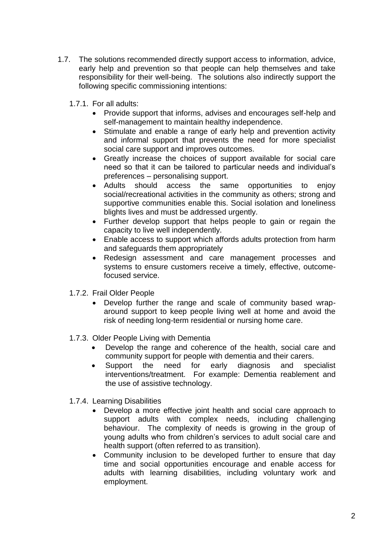- 1.7. The solutions recommended directly support access to information, advice, early help and prevention so that people can help themselves and take responsibility for their well-being. The solutions also indirectly support the following specific commissioning intentions:
	- 1.7.1. For all adults:
		- Provide support that informs, advises and encourages self-help and self-management to maintain healthy independence.
		- Stimulate and enable a range of early help and prevention activity and informal support that prevents the need for more specialist social care support and improves outcomes.
		- Greatly increase the choices of support available for social care need so that it can be tailored to particular needs and individual's preferences – personalising support.
		- Adults should access the same opportunities to enjoy social/recreational activities in the community as others; strong and supportive communities enable this. Social isolation and loneliness blights lives and must be addressed urgently.
		- Further develop support that helps people to gain or regain the capacity to live well independently.
		- Enable access to support which affords adults protection from harm and safeguards them appropriately
		- Redesign assessment and care management processes and systems to ensure customers receive a timely, effective, outcomefocused service.
	- 1.7.2. Frail Older People
		- Develop further the range and scale of community based wraparound support to keep people living well at home and avoid the risk of needing long-term residential or nursing home care.
	- 1.7.3. Older People Living with Dementia
		- Develop the range and coherence of the health, social care and community support for people with dementia and their carers.
		- Support the need for early diagnosis and specialist interventions/treatment. For example: Dementia reablement and the use of assistive technology.
	- 1.7.4. Learning Disabilities
		- Develop a more effective joint health and social care approach to support adults with complex needs, including challenging behaviour. The complexity of needs is growing in the group of young adults who from children's services to adult social care and health support (often referred to as transition).
		- Community inclusion to be developed further to ensure that day time and social opportunities encourage and enable access for adults with learning disabilities, including voluntary work and employment.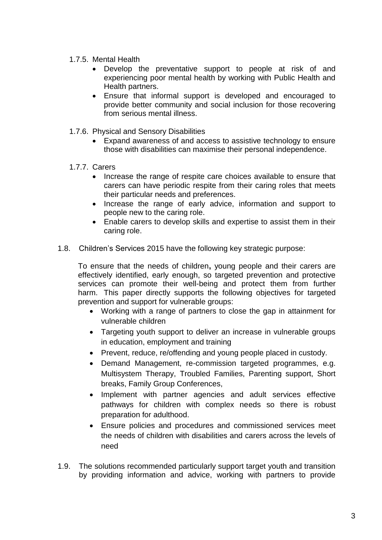- 1.7.5. Mental Health
	- Develop the preventative support to people at risk of and experiencing poor mental health by working with Public Health and Health partners.
	- Ensure that informal support is developed and encouraged to provide better community and social inclusion for those recovering from serious mental illness.
- 1.7.6. Physical and Sensory Disabilities
	- Expand awareness of and access to assistive technology to ensure those with disabilities can maximise their personal independence.
- 1.7.7. Carers
	- Increase the range of respite care choices available to ensure that carers can have periodic respite from their caring roles that meets their particular needs and preferences.
	- Increase the range of early advice, information and support to people new to the caring role.
	- Enable carers to develop skills and expertise to assist them in their caring role.
- 1.8. Children's Services 2015 have the following key strategic purpose:

To ensure that the needs of children**,** young people and their carers are effectively identified, early enough, so targeted prevention and protective services can promote their well-being and protect them from further harm. This paper directly supports the following objectives for targeted prevention and support for vulnerable groups:

- Working with a range of partners to close the gap in attainment for vulnerable children
- Targeting youth support to deliver an increase in vulnerable groups in education, employment and training
- Prevent, reduce, re/offending and young people placed in custody.
- Demand Management, re-commission targeted programmes, e.g. Multisystem Therapy, Troubled Families, Parenting support, Short breaks, Family Group Conferences,
- Implement with partner agencies and adult services effective pathways for children with complex needs so there is robust preparation for adulthood.
- Ensure policies and procedures and commissioned services meet the needs of children with disabilities and carers across the levels of need
- 1.9. The solutions recommended particularly support target youth and transition by providing information and advice, working with partners to provide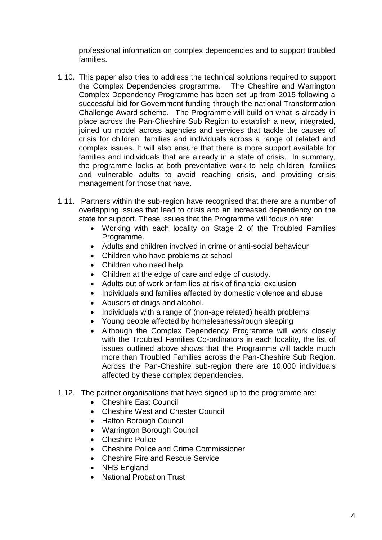professional information on complex dependencies and to support troubled families.

- 1.10. This paper also tries to address the technical solutions required to support the Complex Dependencies programme. The Cheshire and Warrington Complex Dependency Programme has been set up from 2015 following a successful bid for Government funding through the national Transformation Challenge Award scheme. The Programme will build on what is already in place across the Pan-Cheshire Sub Region to establish a new, integrated, joined up model across agencies and services that tackle the causes of crisis for children, families and individuals across a range of related and complex issues. It will also ensure that there is more support available for families and individuals that are already in a state of crisis. In summary, the programme looks at both preventative work to help children, families and vulnerable adults to avoid reaching crisis, and providing crisis management for those that have.
- 1.11. Partners within the sub-region have recognised that there are a number of overlapping issues that lead to crisis and an increased dependency on the state for support. These issues that the Programme will focus on are:
	- Working with each locality on Stage 2 of the Troubled Families Programme.
	- Adults and children involved in crime or anti-social behaviour
	- Children who have problems at school
	- Children who need help
	- Children at the edge of care and edge of custody.
	- Adults out of work or families at risk of financial exclusion
	- Individuals and families affected by domestic violence and abuse
	- Abusers of drugs and alcohol.
	- Individuals with a range of (non-age related) health problems
	- Young people affected by homelessness/rough sleeping
	- Although the Complex Dependency Programme will work closely with the Troubled Families Co-ordinators in each locality, the list of issues outlined above shows that the Programme will tackle much more than Troubled Families across the Pan-Cheshire Sub Region. Across the Pan-Cheshire sub-region there are 10,000 individuals affected by these complex dependencies.
- 1.12. The partner organisations that have signed up to the programme are:
	- Cheshire East Council
	- Cheshire West and Chester Council
	- Halton Borough Council
	- Warrington Borough Council
	- Cheshire Police
	- Cheshire Police and Crime Commissioner
	- Cheshire Fire and Rescue Service
	- NHS England
	- National Probation Trust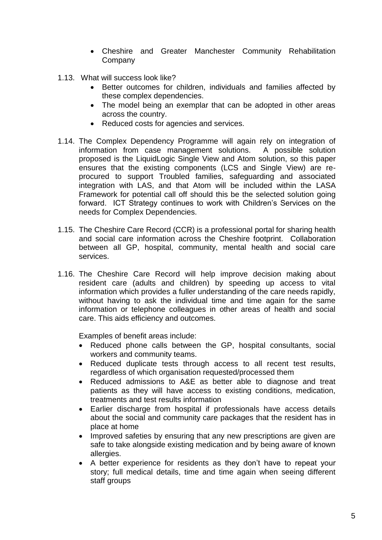- Cheshire and Greater Manchester Community Rehabilitation **Company**
- 1.13. What will success look like?
	- Better outcomes for children, individuals and families affected by these complex dependencies.
	- The model being an exemplar that can be adopted in other areas across the country.
	- Reduced costs for agencies and services.
- 1.14. The Complex Dependency Programme will again rely on integration of information from case management solutions. A possible solution proposed is the LiquidLogic Single View and Atom solution, so this paper ensures that the existing components (LCS and Single View) are reprocured to support Troubled families, safeguarding and associated integration with LAS, and that Atom will be included within the LASA Framework for potential call off should this be the selected solution going forward. ICT Strategy continues to work with Children's Services on the needs for Complex Dependencies.
- 1.15. The Cheshire Care Record (CCR) is a professional portal for sharing health and social care information across the Cheshire footprint. Collaboration between all GP, hospital, community, mental health and social care services.
- 1.16. The Cheshire Care Record will help improve decision making about resident care (adults and children) by speeding up access to vital information which provides a fuller understanding of the care needs rapidly, without having to ask the individual time and time again for the same information or telephone colleagues in other areas of health and social care. This aids efficiency and outcomes.

Examples of benefit areas include:

- Reduced phone calls between the GP, hospital consultants, social workers and community teams.
- Reduced duplicate tests through access to all recent test results, regardless of which organisation requested/processed them
- Reduced admissions to A&E as better able to diagnose and treat patients as they will have access to existing conditions, medication, treatments and test results information
- Earlier discharge from hospital if professionals have access details about the social and community care packages that the resident has in place at home
- Improved safeties by ensuring that any new prescriptions are given are safe to take alongside existing medication and by being aware of known allergies.
- A better experience for residents as they don't have to repeat your story; full medical details, time and time again when seeing different staff groups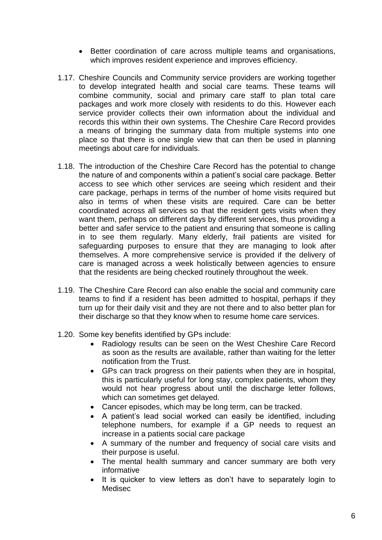- Better coordination of care across multiple teams and organisations, which improves resident experience and improves efficiency.
- 1.17. Cheshire Councils and Community service providers are working together to develop integrated health and social care teams. These teams will combine community, social and primary care staff to plan total care packages and work more closely with residents to do this. However each service provider collects their own information about the individual and records this within their own systems. The Cheshire Care Record provides a means of bringing the summary data from multiple systems into one place so that there is one single view that can then be used in planning meetings about care for individuals.
- 1.18. The introduction of the Cheshire Care Record has the potential to change the nature of and components within a patient's social care package. Better access to see which other services are seeing which resident and their care package, perhaps in terms of the number of home visits required but also in terms of when these visits are required. Care can be better coordinated across all services so that the resident gets visits when they want them, perhaps on different days by different services, thus providing a better and safer service to the patient and ensuring that someone is calling in to see them regularly. Many elderly, frail patients are visited for safeguarding purposes to ensure that they are managing to look after themselves. A more comprehensive service is provided if the delivery of care is managed across a week holistically between agencies to ensure that the residents are being checked routinely throughout the week.
- 1.19. The Cheshire Care Record can also enable the social and community care teams to find if a resident has been admitted to hospital, perhaps if they turn up for their daily visit and they are not there and to also better plan for their discharge so that they know when to resume home care services.
- 1.20. Some key benefits identified by GPs include:
	- Radiology results can be seen on the West Cheshire Care Record as soon as the results are available, rather than waiting for the letter notification from the Trust.
	- GPs can track progress on their patients when they are in hospital, this is particularly useful for long stay, complex patients, whom they would not hear progress about until the discharge letter follows, which can sometimes get delayed.
	- Cancer episodes, which may be long term, can be tracked.
	- A patient's lead social worked can easily be identified, including telephone numbers, for example if a GP needs to request an increase in a patients social care package
	- A summary of the number and frequency of social care visits and their purpose is useful.
	- The mental health summary and cancer summary are both very informative
	- It is quicker to view letters as don't have to separately login to Medisec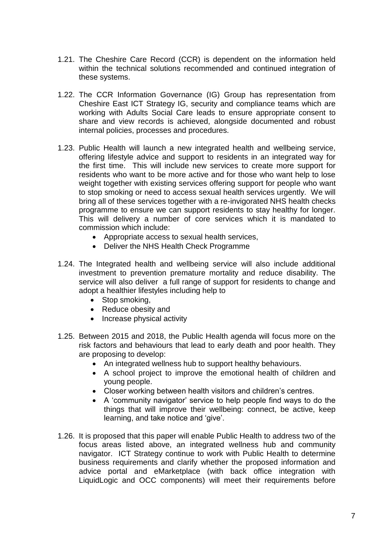- 1.21. The Cheshire Care Record (CCR) is dependent on the information held within the technical solutions recommended and continued integration of these systems.
- 1.22. The CCR Information Governance (IG) Group has representation from Cheshire East ICT Strategy IG, security and compliance teams which are working with Adults Social Care leads to ensure appropriate consent to share and view records is achieved, alongside documented and robust internal policies, processes and procedures.
- 1.23. Public Health will launch a new integrated health and wellbeing service, offering lifestyle advice and support to residents in an integrated way for the first time. This will include new services to create more support for residents who want to be more active and for those who want help to lose weight together with existing services offering support for people who want to stop smoking or need to access sexual health services urgently. We will bring all of these services together with a re-invigorated NHS health checks programme to ensure we can support residents to stay healthy for longer. This will delivery a number of core services which it is mandated to commission which include:
	- Appropriate access to sexual health services,
	- Deliver the NHS Health Check Programme
- 1.24. The Integrated health and wellbeing service will also include additional investment to prevention premature mortality and reduce disability. The service will also deliver a full range of support for residents to change and adopt a healthier lifestyles including help to
	- Stop smoking,
	- Reduce obesity and
	- Increase physical activity
- 1.25. Between 2015 and 2018, the Public Health agenda will focus more on the risk factors and behaviours that lead to early death and poor health. They are proposing to develop:
	- An integrated wellness hub to support healthy behaviours.
	- A school project to improve the emotional health of children and young people.
	- Closer working between health visitors and children's centres.
	- A 'community navigator' service to help people find ways to do the things that will improve their wellbeing: connect, be active, keep learning, and take notice and 'give'.
- 1.26. It is proposed that this paper will enable Public Health to address two of the focus areas listed above, an integrated wellness hub and community navigator. ICT Strategy continue to work with Public Health to determine business requirements and clarify whether the proposed information and advice portal and eMarketplace (with back office integration with LiquidLogic and OCC components) will meet their requirements before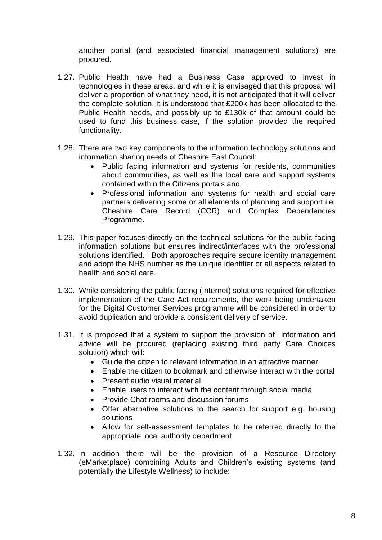another portal (and associated financial management solutions) are procured.

- 1.27. Public Health have had a Business Case approved to invest in technologies in these areas, and while it is envisaged that this proposal will deliver a proportion of what they need, it is not anticipated that it will deliver the complete solution. It is understood that £200k has been allocated to the Public Health needs, and possibly up to £130k of that amount could be used to fund this business case, if the solution provided the required functionality.
- 1.28. There are two key components to the information technology solutions and information sharing needs of Cheshire East Council:
	- Public facing information and systems for residents, communities about communities, as well as the local care and support systems contained within the Citizens portals and
	- Professional information and systems for health and social care partners delivering some or all elements of planning and support i.e. Cheshire Care Record (CCR) and Complex Dependencies Programme.
- 1.29. This paper focuses directly on the technical solutions for the public facing information solutions but ensures indirect/interfaces with the professional solutions identified. Both approaches require secure identity management and adopt the NHS number as the unique identifier or all aspects related to health and social care.
- 1.30. While considering the public facing (Internet) solutions required for effective implementation of the Care Act requirements, the work being undertaken for the Digital Customer Services programme will be considered in order to avoid duplication and provide a consistent delivery of service.
- 1.31. It is proposed that a system to support the provision of information and advice will be procured (replacing existing third party Care Choices solution) which will:
	- Guide the citizen to relevant information in an attractive manner
	- Enable the citizen to bookmark and otherwise interact with the portal
	- Present audio visual material
	- Enable users to interact with the content through social media
	- Provide Chat rooms and discussion forums
	- Offer alternative solutions to the search for support e.g. housing solutions
	- Allow for self-assessment templates to be referred directly to the appropriate local authority department
- 1.32. In addition there will be the provision of a Resource Directory (eMarketplace) combining Adults and Children's existing systems (and potentially the Lifestyle Wellness) to include: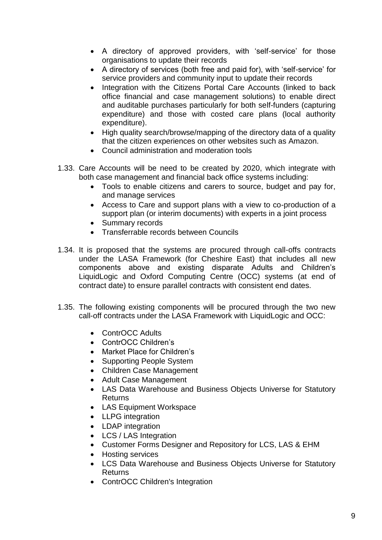- A directory of approved providers, with 'self-service' for those organisations to update their records
- A directory of services (both free and paid for), with 'self-service' for service providers and community input to update their records
- Integration with the Citizens Portal Care Accounts (linked to back office financial and case management solutions) to enable direct and auditable purchases particularly for both self-funders (capturing expenditure) and those with costed care plans (local authority expenditure).
- High quality search/browse/mapping of the directory data of a quality that the citizen experiences on other websites such as Amazon.
- Council administration and moderation tools
- 1.33. Care Accounts will be need to be created by 2020, which integrate with both case management and financial back office systems including:
	- Tools to enable citizens and carers to source, budget and pay for, and manage services
	- Access to Care and support plans with a view to co-production of a support plan (or interim documents) with experts in a joint process
	- Summary records
	- Transferrable records between Councils
- 1.34. It is proposed that the systems are procured through call-offs contracts under the LASA Framework (for Cheshire East) that includes all new components above and existing disparate Adults and Children's LiquidLogic and Oxford Computing Centre (OCC) systems (at end of contract date) to ensure parallel contracts with consistent end dates.
- 1.35. The following existing components will be procured through the two new call-off contracts under the LASA Framework with LiquidLogic and OCC:
	- ContrOCC Adults
	- ContrOCC Children's
	- Market Place for Children's
	- Supporting People System
	- Children Case Management
	- Adult Case Management
	- LAS Data Warehouse and Business Objects Universe for Statutory Returns
	- LAS Equipment Workspace
	- LLPG integration
	- LDAP integration
	- LCS / LAS Integration
	- Customer Forms Designer and Repository for LCS, LAS & EHM
	- Hosting services
	- LCS Data Warehouse and Business Objects Universe for Statutory Returns
	- ContrOCC Children's Integration